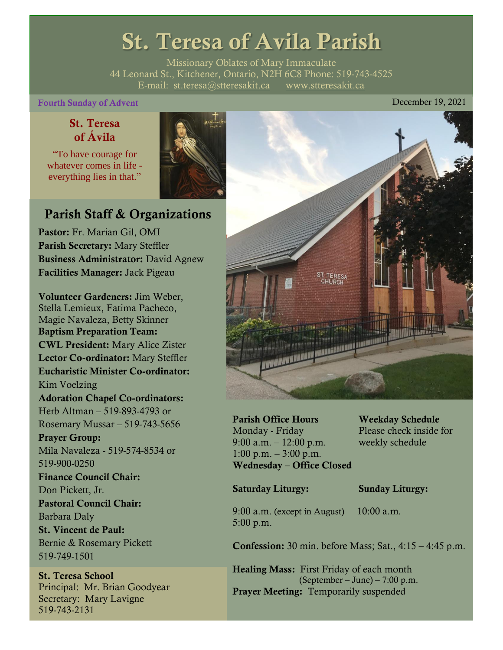# St. Teresa of Avila Parish

Missionary Oblates of Mary Immaculate 44 Leonard St., Kitchener, Ontario, N2H 6C8 Phone: 519-743-4525 E-mail: [st.teresa@stteresakit.ca](mailto:st.teresa@stteresakit.ca) [www.stteresakit.ca](http://www.stteresakit.ca/)

# Fourth Sunday of Advent **Exercise 2021 December 19, 2021**

# St. Teresa of Ávila

"To have courage for whatever comes in life everything lies in that."



# Parish Staff & Organizations

Pastor: Fr. Marian Gil, OMI Parish Secretary: Mary Steffler Business Administrator: David Agnew Facilities Manager: Jack Pigeau

Volunteer Gardeners: Jim Weber, Stella Lemieux, Fatima Pacheco, Magie Navaleza, Betty Skinner Baptism Preparation Team: CWL President: Mary Alice Zister Lector Co-ordinator: Mary Steffler Eucharistic Minister Co-ordinator: Kim Voelzing Adoration Chapel Co-ordinators: Herb Altman – 519-893-4793 or Rosemary Mussar – 519-743-5656 Prayer Group: Mila Navaleza - 519-574-8534 or 519-900-0250 Finance Council Chair: Don Pickett, Jr. Pastoral Council Chair: Barbara Daly St. Vincent de Paul: Bernie & Rosemary Pickett 519-749-1501

St. Teresa School Principal: Mr. Brian Goodyear Secretary: Mary Lavigne 519-743-2131



Parish Office Hours Weekday Schedule Monday - Friday Please check inside for 9:00 a.m. – 12:00 p.m. weekly schedule  $1:00 \text{ p.m.} - 3:00 \text{ p.m.}$ Wednesday – Office Closed

### Saturday Liturgy: Sunday Liturgy:

9:00 a.m. (except in August) 10:00 a.m. 5:00 p.m.

Confession: 30 min. before Mass; Sat., 4:15 – 4:45 p.m.

Healing Mass: First Friday of each month (September – June) – 7:00 p.m. Prayer Meeting: Temporarily suspended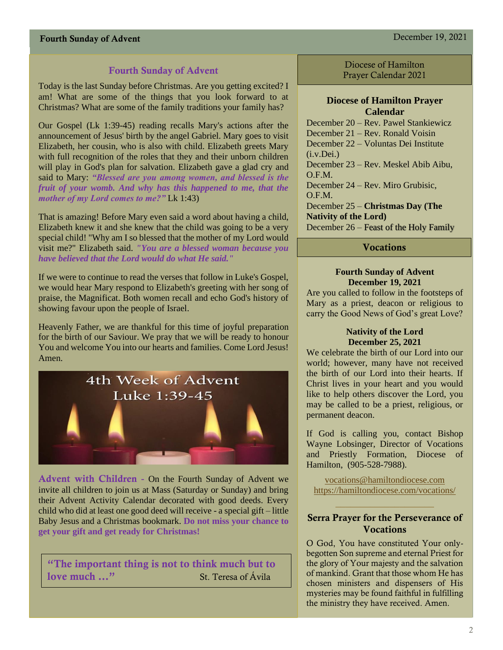### Fourth Sunday of Advent

Today is the last Sunday before Christmas. Are you getting excited? I am! What are some of the things that you look forward to at Christmas? What are some of the family traditions your family has?

Our Gospel (Lk 1:39-45) reading recalls Mary's actions after the announcement of Jesus' birth by the angel Gabriel. Mary goes to visit Elizabeth, her cousin, who is also with child. Elizabeth greets Mary with full recognition of the roles that they and their unborn children will play in God's plan for salvation. Elizabeth gave a glad cry and said to Mary: *"Blessed are you among women, and blessed is the fruit of your womb. And why has this happened to me, that the mother of my Lord comes to me?"* Lk 1:43)

That is amazing! Before Mary even said a word about having a child, Elizabeth knew it and she knew that the child was going to be a very special child! "Why am I so blessed that the mother of my Lord would visit me?" Elizabeth said. *"You are a blessed woman because you have believed that the Lord would do what He said."*

If we were to continue to read the verses that follow in Luke's Gospel, we would hear Mary respond to Elizabeth's greeting with her song of praise, the Magnificat. Both women recall and echo God's history of showing favour upon the people of Israel.

Heavenly Father, we are thankful for this time of joyful preparation for the birth of our Saviour. We pray that we will be ready to honour You and welcome You into our hearts and families. Come Lord Jesus! Amen.



Advent with Children **-** On the Fourth Sunday of Advent we invite all children to join us at Mass (Saturday or Sunday) and bring their Advent Activity Calendar decorated with good deeds. Every child who did at least one good deed will receive - a special gift – little Baby Jesus and a Christmas bookmark. **Do not miss your chance to get your gift and get ready for Christmas!**

"The important thing is not to think much but to love much ..." St. Teresa of Ávila

Diocese of Hamilton Prayer Calendar 2021

#### **Diocese of Hamilton Prayer Calendar**

December 20 – Rev. Pawel Stankiewicz December 21 – Rev. Ronald Voisin December 22 – Voluntas Dei Institute  $(i.v.Dei.)$ December 23 – Rev. Meskel Abib Aibu, O.F.M. December 24 – Rev. Miro Grubisic, O.F.M. December 25 – **Christmas Day (The Nativity of the Lord)** December 26 – Feast of the Holy Family

#### **Vocations**

#### **Fourth Sunday of Advent December 19, 2021**

Are you called to follow in the footsteps of Mary as a priest, deacon or religious to carry the Good News of God's great Love?

#### **Nativity of the Lord December 25, 2021**

We celebrate the birth of our Lord into our world; however, many have not received the birth of our Lord into their hearts. If Christ lives in your heart and you would like to help others discover the Lord, you may be called to be a priest, religious, or permanent deacon.

If God is calling you, contact Bishop Wayne Lobsinger, Director of Vocations and Priestly Formation, Diocese of Hamilton, (905-528-7988).

[vocations@hamiltondiocese.com](mailto:vocations@hamiltondiocese.com)  <https://hamiltondiocese.com/vocations/>

#### Serra Prayer for the Perseverance of Vocations

O God, You have constituted Your onlybegotten Son supreme and eternal Priest for the glory of Your majesty and the salvation of mankind. Grant that those whom He has chosen ministers and dispensers of His mysteries may be found faithful in fulfilling the ministry they have received. Amen.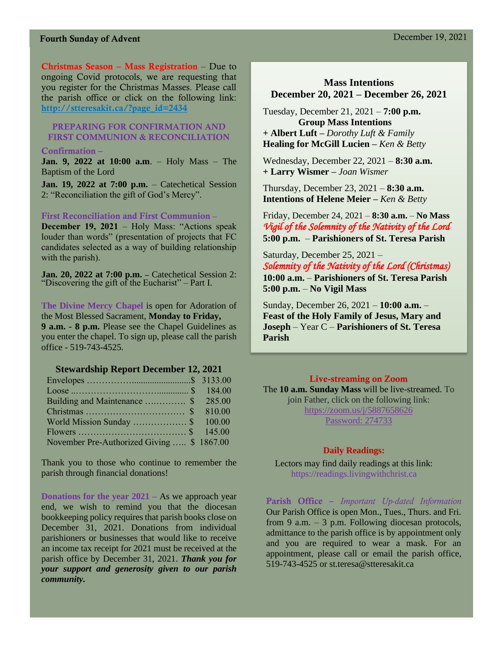Christmas Season – Mass Registration – Due to ongoing Covid protocols, we are requesting that you register for the Christmas Masses. Please call the parish office or click on the following link: [http://stteresakit.ca/?page\\_id=2434](http://stteresakit.ca/?page_id=2434)

#### PREPARING FOR CONFIRMATION AND FIRST COMMUNION & RECONCILIATION

#### Confirmation –

**Jan. 9, 2022 at 10:00 a.m**. – Holy Mass – The Baptism of the Lord

**Jan. 19, 2022 at 7:00 p.m.** – Catechetical Session 2: "Reconciliation the gift of God's Mercy".

#### First Reconciliation and First Communion **–**

**December 19, 2021** – Holy Mass: "Actions speak louder than words" (presentation of projects that FC candidates selected as a way of building relationship with the parish).

**Jan. 20, 2022 at 7:00 p.m. –** Catechetical Session 2: "Discovering the gift of the Eucharist" – Part I.

**The Divine Mercy Chapel** is open for Adoration of the Most Blessed Sacrament, **Monday to Friday, 9 a.m. - 8 p.m.** Please see the Chapel Guidelines as you enter the chapel. To sign up, please call the parish office - 519-743-4525.

#### **Stewardship Report December 12, 2021**

| Building and Maintenance  \$ 285.00       |  |
|-------------------------------------------|--|
|                                           |  |
| World Mission Sunday \$ 100.00            |  |
|                                           |  |
| November Pre-Authorized Giving  \$1867.00 |  |

Thank you to those who continue to remember the parish through financial donations!

**Donations for the year 2021 –** As we approach year end, we wish to remind you that the diocesan bookkeeping policy requires that parish books close on December 31, 2021. Donations from individual parishioners or businesses that would like to receive an income tax receipt for 2021 must be received at the parish office by December 31, 2021. *Thank you for your support and generosity given to our parish community.*

### **Mass Intentions December 20, 2021 – December 26, 2021**

Tuesday, December 21, 2021 – **7:00 p.m. Group Mass Intentions + Albert Luft –** *Dorothy Luft & Family* **Healing for McGill Lucien –** *Ken & Betty*

Wednesday, December 22, 2021 – **8:30 a.m.** **+ Larry Wismer –** *Joan Wismer*

Thursday, December 23, 2021 – **8:30 a.m. Intentions of Helene Meier –** *Ken & Betty*

Friday, December 24, 2021 – **8:30 a.m.**– **No Mass** *Vigil of the Solemnity of the Nativity of the Lord* **5:00 p.m.** – **Parishioners of St. Teresa Parish**

Saturday, December 25, 2021 – *Solemnity of the Nativity of the Lord (Christmas)* **10:00 a.m.** – **Parishioners of St. Teresa Parish 5:00 p.m.** – **No Vigil Mass**

Sunday, December 26, 2021 – **10:00 a.m.** – **Feast of the Holy Family of Jesus, Mary and Joseph** – Year C – **Parishioners of St. Teresa Parish** 

#### Live-streaming on Zoom

The **10 a.m. Sunday Mass** will be live-streamed. To join Father, click on the following link: <https://zoom.us/j/5887658626> Password: 274733

#### **Daily Readings:**

Lectors may find daily readings at this link: https://readings.livingwithchrist.ca

Parish Office – *Important Up-dated Information*  Our Parish Office is open Mon., Tues., Thurs. and Fri. from 9 a.m.  $-3$  p.m. Following diocesan protocols, admittance to the parish office is by appointment only and you are required to wear a mask. For an appointment, please call or email the parish office, 519-743-4525 or st.teresa@stteresakit.ca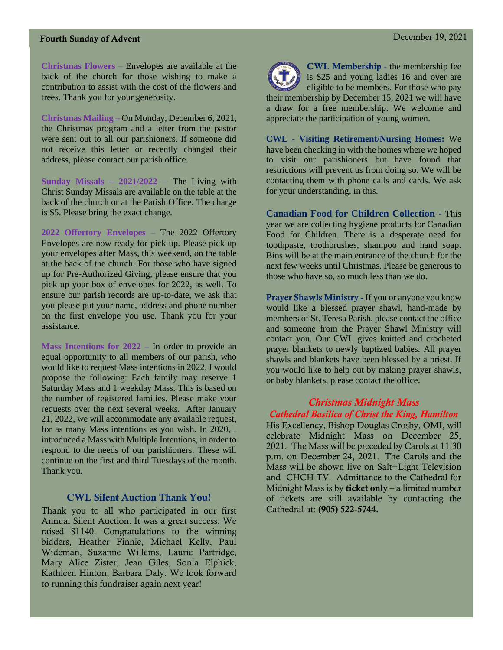**Christmas Flowers** – Envelopes are available at the back of the church for those wishing to make a contribution to assist with the cost of the flowers and trees. Thank you for your generosity.

**Christmas Mailing –** On Monday, December 6, 2021, the Christmas program and a letter from the pastor were sent out to all our parishioners. If someone did not receive this letter or recently changed their address, please contact our parish office.

**Sunday Missals – 2021/2022 –** The Living with Christ Sunday Missals are available on the table at the back of the church or at the Parish Office. The charge is \$5. Please bring the exact change.

**2022 Offertory Envelopes** – The 2022 Offertory Envelopes are now ready for pick up. Please pick up your envelopes after Mass, this weekend, on the table at the back of the church. For those who have signed up for Pre-Authorized Giving, please ensure that you pick up your box of envelopes for 2022, as well. To ensure our parish records are up-to-date, we ask that you please put your name, address and phone number on the first envelope you use. Thank you for your assistance.

**Mass Intentions for 2022** – In order to provide an equal opportunity to all members of our parish, who would like to request Mass intentions in 2022, I would propose the following: Each family may reserve 1 Saturday Mass and 1 weekday Mass. This is based on the number of registered families. Please make your requests over the next several weeks. After January 21, 2022, we will accommodate any available request, for as many Mass intentions as you wish. In 2020, I introduced a Mass with Multiple Intentions, in order to respond to the needs of our parishioners. These will continue on the first and third Tuesdays of the month. Thank you.

#### CWL Silent Auction Thank You!

Thank you to all who participated in our first Annual Silent Auction. It was a great success. We raised \$1140. Congratulations to the winning bidders, Heather Finnie, Michael Kelly, Paul Wideman, Suzanne Willems, Laurie Partridge, Mary Alice Zister, Jean Giles, Sonia Elphick, Kathleen Hinton, Barbara Daly. We look forward to running this fundraiser again next year!



CWL Membership - the membership fee is \$25 and young ladies 16 and over are eligible to be members. For those who pay their membership by December 15, 2021 we will have a draw for a free membership. We welcome and appreciate the participation of young women.

**CWL - Visiting Retirement/Nursing Homes:** We have been checking in with the homes where we hoped to visit our parishioners but have found that restrictions will prevent us from doing so. We will be contacting them with phone calls and cards. We ask for your understanding, in this.

**Canadian Food for Children Collection -** This year we are collecting hygiene products for Canadian Food for Children. There is a desperate need for toothpaste, toothbrushes, shampoo and hand soap. Bins will be at the main entrance of the church for the next few weeks until Christmas. Please be generous to those who have so, so much less than we do.

Prayer Shawls Ministry - If you or anyone you know would like a blessed prayer shawl, hand-made by members of St. Teresa Parish, please contact the office and someone from the Prayer Shawl Ministry will contact you. Our CWL gives knitted and crocheted prayer blankets to newly baptized babies. All prayer shawls and blankets have been blessed by a priest. If you would like to help out by making prayer shawls, or baby blankets, please contact the office.

#### *Christmas Midnight Mass*

#### *Cathedral Basilica of Christ the King, Hamilton*

His Excellency, Bishop Douglas Crosby, OMI, will celebrate Midnight Mass on December 25, 2021. The Mass will be preceded by Carols at 11:30 p.m. on December 24, 2021. The Carols and the Mass will be shown live on Salt+Light Television and CHCH-TV. Admittance to the Cathedral for Midnight Mass is by **ticket only** – a limited number of tickets are still available by contacting the Cathedral at: (905) 522-5744.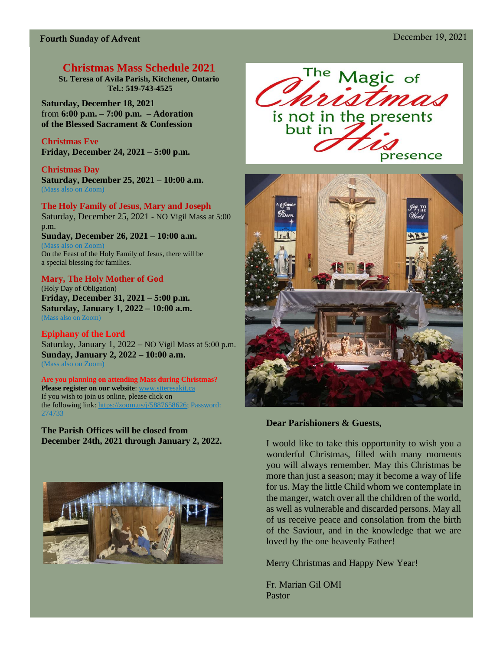# **Christmas Mass Schedule 2021**

**St. Teresa of Avila Parish, Kitchener, Ontario Tel.: 519-743-4525**

**Saturday, December 18, 2021**  from **6:00 p.m. – 7:00 p.m. – Adoration of the Blessed Sacrament & Confession**

**Christmas Eve Friday, December 24, 2021 – 5:00 p.m.**

**Christmas Day Saturday, December 25, 2021 – 10:00 a.m.**  (Mass also on Zoom)

**The Holy Family of Jesus, Mary and Joseph**  Saturday, December 25, 2021 - NO Vigil Mass at 5:00 p.m. **Sunday, December 26, 2021 – 10:00 a.m.**

(Mass also on Zoom) On the Feast of the Holy Family of Jesus, there will be a special blessing for families.

#### **Mary, The Holy Mother of God**

(Holy Day of Obligation) **Friday, December 31, 2021 – 5:00 p.m. Saturday, January 1, 2022 – 10:00 a.m.**  (Mass also on Zoom)

**Epiphany of the Lord** Saturday, January 1, 2022 – NO Vigil Mass at 5:00 p.m. **Sunday, January 2, 2022 – 10:00 a.m.**  (Mass also on Zoom)

**Are you planning on attending Mass during Christmas? Please register on our website:** www.sttere If you wish to join us online, please click on the following link[: https://zoom.us/j/5887658626;](https://zoom.us/j/5887658626) Password: 274733

**The Parish Offices will be closed from December 24th, 2021 through January 2, 2022.**







#### **Dear Parishioners & Guests,**

I would like to take this opportunity to wish you a wonderful Christmas, filled with many moments you will always remember. May this Christmas be more than just a season; may it become a way of life for us. May the little Child whom we contemplate in the manger, watch over all the children of the world, as well as vulnerable and discarded persons. May all of us receive peace and consolation from the birth of the Saviour, and in the knowledge that we are loved by the one heavenly Father!

Merry Christmas and Happy New Year!

Fr. Marian Gil OMI Pastor